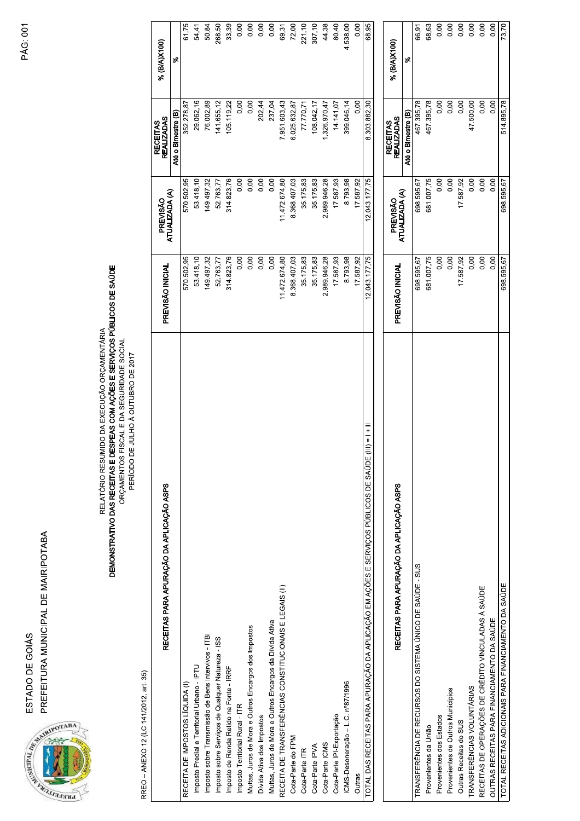PREFEITURA MUNICIPAL DE MAIRIPOTABA ESTADO DE GOIÁS



DEMONSTRATIVO DAS RECEITAS E DESPEAS COM AÇÕES E SERVIÇOS PÚBLICOS DE SAÚDE<br>ORÇAMENTOS FISCAL E DA SEGURIDADE SOCIAL RELATÓRIO RESUMIDO DA EXECUÇÃO ORÇAMENTÁRIA

PERÍODO DE JULHO À OUTUBRO DE 2017

RREO - ANEXO 12 (LC 141/2012, art. 35)

| RECEITAS PARA APURAÇÃO DA APLICAÇÃO ASPS                                                                                             | PREVISÃO INICIAL | PREVISÃO                   | <b>REALIZADAS</b><br><b>RECEITAS</b> | % (B/A)X100) |
|--------------------------------------------------------------------------------------------------------------------------------------|------------------|----------------------------|--------------------------------------|--------------|
|                                                                                                                                      |                  | ATUALIZADA (A)             | Até o Bimestre (B)                   | ళ            |
| RECEITA DE IMPOSTOS LÍQUIDA (I)                                                                                                      | 570 502,95       | 570.502,95                 | 352.278,87                           | 61,75        |
| Imposto Predial e Territorial Urbano - IPTU                                                                                          | 53.418,10        | 53.418,10                  | 29.062,16                            | 54,41        |
| Imposto sobre Transmissão de Bens Intervivos - ITBI                                                                                  | 149.497,32       | 149.497,32                 | 76.002,89                            | 50,84        |
| Imposto sobre Serviços de Qualquer Natureza - ISS                                                                                    | 52.763,77        | 52.763,77                  | 141.655,12                           | 268,50       |
| Imposto de Renda Retido na Fonte - IRRF                                                                                              | 314.823,76       | 314.823,76                 | 105.119,22                           | 33,39        |
| Imposto Territorial Rural - ITR                                                                                                      | 0,00             | 0,00                       | 0,00                                 | 0,00         |
| Multas, Juros de Mora e Outros Encargos dos Impostos                                                                                 | 0,00             | 0,00                       | 0,00                                 | 0,00         |
| Dívida Ativa dos Impostos                                                                                                            | 0,00             | 0,00                       | 202,44                               | 0,00         |
| Multas, Juros de Mora e Outros Encargos da Divida Ativa                                                                              | 0,00             | 0,00                       | 237,04                               | 0,00         |
| RECEITA DE TRANSFERÊNCIAS CONSTITUCIONAIS E LEGAIS (II)                                                                              | 1.472.674,80     | 11472.674,80               | 7.951.603,43                         | 69,31        |
| Cota-Parte do FPM                                                                                                                    | 8.368.407,03     | 8.368.407,03               | 6.025.632,87                         | 72,00        |
| Cota-Parte ITR                                                                                                                       | 35.175,83        | 35.175,83                  | 77.770,71                            | 221,10       |
| Cota-Parte IPVA                                                                                                                      | 35.175,83        | 35.175,83                  | 108.042,17                           | 307,10       |
| Cota-Parte ICMS                                                                                                                      | 2.989.946,28     | 2.989.946,28               | 1.326.970,47                         | 44,38        |
| Cota-Parte IPI-Exportação                                                                                                            | 17.587,93        | 17.587,93                  | 14.141.07                            | 80,40        |
| CMS-Desoneração - L.C. nº87/1996                                                                                                     | 8.793,98         | 8.793,98                   | 399.046,14                           | 4.538,00     |
| Outras                                                                                                                               | 17.587,92        | 17.587,92                  | 0,00                                 | 0,00         |
| $\frac{1}{1}$ + $\frac{1}{1}$ + $\frac{1}{1}$<br>TOTAL DAS RECEITAS PARA APURAÇÃO DA APLICAÇÃO EM AÇÕES E SERVIÇOS PÚBLICOS DE SAÚDE | 12.043.177,75    | 12.043.177.75              | 8.303.882.30                         | 68,95        |
|                                                                                                                                      |                  |                            | <b>RECEITAS</b>                      |              |
| RECEITAS PARA APURAÇÃO DA APLICAÇÃO ASPS                                                                                             | PREVISÃO INICIAL | ATUALIZADA (A)<br>PREVISÃO | <b>REALIZADAS</b>                    | % (B/A)X100) |
|                                                                                                                                      |                  |                            | Até o Bimestre (B)                   | ళ            |
| TRANSFERÊNCIA DE RECURSOS DO SISTEMA ÚNICO DE SAÚDE - SUS                                                                            | 698.595,67       | 698.595,67                 | 467.395,78                           | 66,91        |
| Provenientes da União                                                                                                                | 681.007,75       | 681.007,75                 | 467.395,78                           | 68,63        |
| Provenientes dos Estados                                                                                                             | 0,00             | 0,00                       | 0,00                                 | 0,00         |
| Provenientes de Outros Municípios                                                                                                    | 0,00             | 0,00                       | 0,00                                 | 0,00         |
| Outras Receitas do SUS                                                                                                               | 17.587,92        | 17.587,92                  | 0,00                                 | 0,00         |
| TRANSFERÊNCIAS VOLUNTÁRIAS                                                                                                           | 0,00             | 0,00                       | 47.500,00                            | 0,00         |
| RECEITAS DE OPERAÇÕES DE CRÉDITO VINCULADAS À SAÚDE                                                                                  | 0,00             | 0,00                       | 0,00                                 | 0,00         |
| OUTRAS RECEITAS PARA FINANCIAMENTO DA SAÚDE                                                                                          | 0,00             | 0,00                       | 0,00                                 | 0,00         |

 $0,00$ 73,70

514.895,78

 $0,00$ 698.595,67

698.595,67

TOTAL RECEITAS ADICIONAIS PARA FINANCIAMENTO DA SAÚDE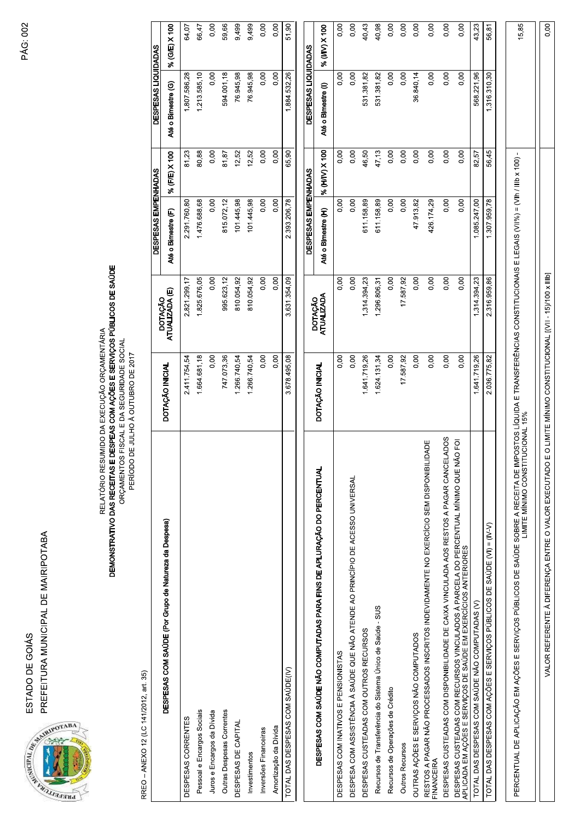PREFEITURA MUNICIPAL DE MAIRIPOTABA ESTADO DE GOIÁS



DEMONSTRATIVO DAS RECEITAS E DESPEAS COM AÇÕES E SERVIÇOS PÚBLICOS DE SAÚDE<br>ORÇAMENTOS FISCAL E DA SEGURIDADE SOCIAL RELATÓRIO RESUMIDO DA EXECUÇÃO ORÇAMENTÁRIA

PERÍODO DE JULHO À OUTUBRO DE 2017

RREO - ANEXO 12 (LC 141/2012, art. 35)

|                                                                                                                                                                                                   |                                                          |                                     | DESPESAS EMPENHADAS |               | <b>DESPESAS LIQUIDADAS</b> |               |
|---------------------------------------------------------------------------------------------------------------------------------------------------------------------------------------------------|----------------------------------------------------------|-------------------------------------|---------------------|---------------|----------------------------|---------------|
| DESPESAS COM SAÚDE (Por Grupo de Natureza da Despesa)                                                                                                                                             | DOTAÇÃO INICIAL                                          | - DOTAÇÃO<br>ΑΤUALIZADA (E)         | Até o Bimestre (F)  | % (F/E) X 100 | Até o Bimestre (G)         | % (G/E) X 100 |
| DESPESAS CORRENTES                                                                                                                                                                                | 2.411.754,54                                             | 2.821.299,17                        | 2.291.760,80        | 81,23         | 1.807.586,28               | 64,07         |
| Pessoal e Encargos Sociais                                                                                                                                                                        | 1.664.681,18                                             | 1.825.676,05                        | 1.476.688,68        | 80,88         | 1.213.585,10               | 66,47         |
| Juros e Encargos da Dívida                                                                                                                                                                        | 0,00                                                     | 0,00                                | 0,00                | 0,00          | 0,00                       | 0,00          |
| Outras Despesas Correntes                                                                                                                                                                         | 747.073,36                                               | 995.623,12                          | 815.072,12          | 81,87         | 594.001,18                 | 59,66         |
| DESPESAS DE CAPITAL                                                                                                                                                                               | 1.266.740,54                                             | 810.054,92                          | 101.445,98          | 12,52         | 76.945,98                  | 9,499         |
| Investimentos                                                                                                                                                                                     | 1.266.740,54                                             | 810.054,92                          | 101.445,98          | 12,52         | 76.945,98                  | 9,499         |
| Inversões Financeiras                                                                                                                                                                             | 0,00                                                     | 0,00                                | 0,00                | 0,00          | 0,00                       | 0,00          |
| Amortização da Dívida                                                                                                                                                                             | 0,00                                                     | 0,00                                | 0,00                | 0,00          | 0,00                       | 0,00          |
| TOTAL DAS DESPESAS COM SAÚDE(IV)                                                                                                                                                                  | 3678.495,08                                              | 3.631.354,09                        | 2393206,78          | 65,90         | 1884532,26                 | 51,90         |
|                                                                                                                                                                                                   |                                                          |                                     | DESPESAS EMPENHADAS |               | DESPESAS LIQUIDADAS        |               |
| DESPESAS COM SAÚDE NÃO COMPUTADAS PARA FINS DE APLURAÇÃO DO PERCENTUAL                                                                                                                            | DOTAÇÃO INICIAL                                          | <b>ATUALIZADA</b><br><b>DOTAÇÃO</b> | Até o Bimestre (H)  | % (H/V) X 100 | Até o Bimestre (I)         | % (VIV) X 100 |
| DESPESAS COM INATIVOS E PENSIONISTAS                                                                                                                                                              | 0,00                                                     | 0,00                                | 0,00                | 0,00          | 0,00                       | 0,00          |
| DESPESA COM ASSISTÊNCIA À SAÚDE QUE NÃO ATENDE AO PRINCÍPIO DE ACESSO UNIVERSAL                                                                                                                   | 0,00                                                     | 0,00                                | 0,00                | 0,00          | 0,00                       | 0,00          |
| DESPESAS CUSTEADAS COM OUTROS RECURSOS                                                                                                                                                            | 1.641.719,26                                             | 1.314.394,23                        | 611.158,89          | 46,50         | 531.381,82                 | 40,43         |
| Recursos de Transferência do Sistema Único de Saúde - SUS                                                                                                                                         | 1.624.131,34                                             | 1.296.806,31                        | 611.158,89          | 47,13         | 531.381,82                 | 40,98         |
| Recursos de Operações de Crédito                                                                                                                                                                  | 0,00                                                     | 0,00                                | 0,00                | 0,00          | 0,00                       | 0,00          |
| <b>Outros Recursos</b>                                                                                                                                                                            | 17.587,92                                                | 17.587,92                           | 0,00                | 0,00          | 0,00                       | 0,00          |
| OUTRAS AÇÕES E SERVIÇOS NÃO COMPUTADOS                                                                                                                                                            | 0,00                                                     | 0,00                                | 47.913,82           | 0,00          | 36.840,14                  | 0,00          |
| RESTOS A PAGAR NÃO PROCESSADOS INSCRITOS INDEVIDAMENTE NO EXERCÍCIO SEM DISPONIBILIDADE<br>FINANCEIRA                                                                                             | 0,00                                                     | 0,00                                | 426.174,29          | 0,00          | 0,00                       | 0,00          |
| DESPESAS CUSTEADAS COM DISPONIBILIDADE DE CAIXA VINCULADA AOS RESTOS A PAGAR CANCELADOS                                                                                                           | 0,00                                                     | 0,00                                | 0,00                | 0,00          | 0,00                       | 0,00          |
| DESPESAS CUSTEADAS COM RECURSOS VINCULADOS À PARCELA DO PERCENTUAL MÍNIMO QUE NÃO FOI<br>APLICADA EM AÇÕES E SERVIÇOS DE SAÚDE EM EXERCÍCIOS ANTERIORES                                           | 0,00                                                     | 0,00                                | 0,00                | 0,00          | 0,00                       | 0,00          |
| TOTAL DAS DESPESAS COM SAÚDE NÃO COMPUTADAS (V)                                                                                                                                                   | 1.641.719,26                                             | 1.314.394,23                        | 1.085.247,00        | 82,57         | 568.221,96                 | 43,23         |
| TOTAL DAS DESPESAS COM AÇÕES E SERVIÇOS PÚBLICOS DE SAÚDE (VI) = (IV-V)                                                                                                                           | 2.036.775,82                                             | 2.316.959,86                        | 1.307.959,78        | 56,45         | 1.316.310,30               | 56,81         |
| PERCENTUAL DE APLICAÇÃO EM AÇÕES E SERVIÇOS PÚBLICOS DE SAÚDE SOBRE A RECEITA DE IMPOSTOS LÍQUIDA E TRANSFERÊNCIAS CONSTITUCIONAL SO CONSTRENCIAS (VIII%) = (VIII /IIIb x 100).<br>LIMITE MÍNICAS |                                                          |                                     |                     |               |                            | 15,85         |
| VALOR REFERENTE À DIFERENÇA ENTRE O VALOR EXECUTADO I                                                                                                                                             | E O LIMITE MÍNIMO CONSTITUCIONAL [(VII - 15)/100 x IIIb] |                                     |                     |               |                            | 0,00          |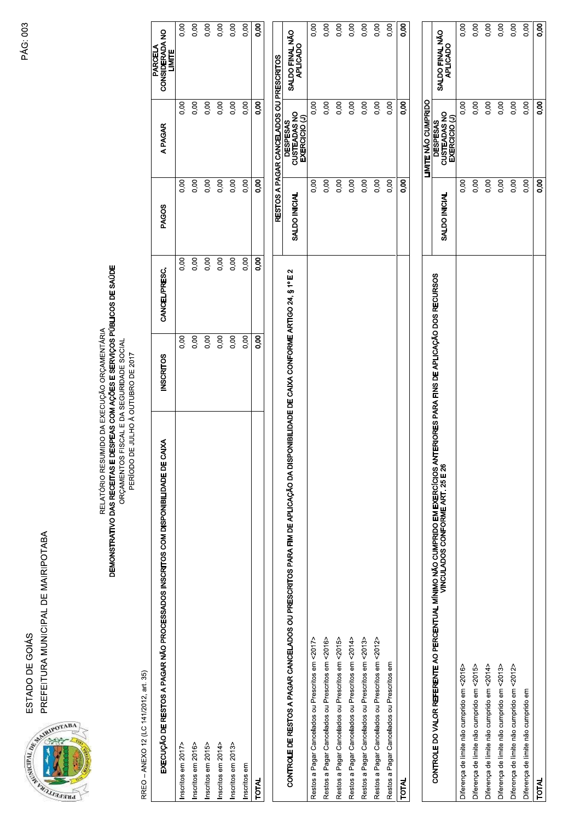ESTADO DE GOIÁS<br>PREFEITURA MUNICIPAL DE MAIRIPOTABA<br>SA CORA<br>SA CORA DE MUNICIPAL DE MAIRIPOTABA TADO DE GOIÁS<br>EFEITURA MUNICIPAL DE MAIRIPOTABA<br>EFEITURA MUNICIPAL DE MAIRIPOTABA



: GOIÁS<br>A MUNICIPAL DE MAIRIPOTABA<br>CONSTANTE DE MAIRIPOTABA<br>RELATÓRIO RES<br>DEMONSTRATIVO DAS RECEITAS E CIPAL DE MAIRIPOTABA<br>RELATÓRIO RESUM<br>D**EMONSTRATIVO DAS RECEITAS E DE**<br>D**EMONSTRATIVO DAS RECEITAS E DE AIRIPOTABA**<br>RELATÓRIO RESUMIDO I<br>DEMONSTRATIVO DAS RECEITAS E DESPEJ<br>ORÇAMENTOS FISCA<br>PERÍODO DE JUL<br>PERÍODO DE JUL<br>SCRITOS COM DISPONIBILIDADE DE CAIXA **POTABA**<br>RELATÓRIO RESUMIDO DA EXECUÇÃO ORÇAM<br>IONSTRATIVO DAS RECEITAS E DESPEAS COM AÇÕES E SER<br>ION COM DISPONIBILIDADE DE JULHO À OUTUBRO DE 20<br>IOS COM DISPONIBILIDADE DE CAIXA ÓRIO RESUMIDO DA EXECUÇÃO ORÇAMENTÁRIA<br>S**CEITAS E DESPEAS COM AÇÕES E SERVIÇOS PÚBLICOS**<br>ÇAMENTOS FISCAL E DA SEGURIDADE SOCIAL<br>PERÍODO DE JULHO À OUTUBRO DE 2017<br>**DADE DE CAIXA**<br>**NADE DE CAIXA** RELATÓRIO RESUMIDO DA E<br>ORÇAMENTOS FISCAL E<br>ORÇAMENTOS FISCAL E<br>ORÇAMENTOS FISCAL E<br>PERÍODO DE JULHO.<br>PERÍODO DE JULHO.<br>**RITOS COM DISPONIBILIDADE DE CAIXA** RELATÓRIO RESUMIDO DA EXECUÇÃO ORÇ<br>ORÇAMENTOS FISCAL E DA SEGURIDAD<br>ORÇAMENTOS FISCAL E DA SEGURIDAD<br>ORÇAMENTOS FISCAL E DA SEGURIDAD<br>PERÍODO DE JULHO À OUTUBRO DE<br>O**COM DISPONIBILIDADE DE CAIXA** ATÓRIO RESUMIDO DA EXECUÇÃO ORÇAMEN<br>**RECEITAS E DESPEAS COM AÇÕES E SERVIÇ**<br>PRÇAMENTOS FISCAL E DA SEGURIDADE SOC<br>PERÍODO DE JULHO À OUTUBRO DE 2017<br>PERÍODO DE JULHO À OUTUBRO DE 2017<br>**BILIDADE DE CAIXA** O RESUMIDO DA EXECUÇÃO ORÇAMENTÁRI<br>**TAS E DESPEAS COM AÇÕES E SERVIÇOS P**<br>ENTOS FISCAL E DA SEGURIDADE SOCIAL<br>RÍODO DE JULHO À OUTUBRO DE 2017<br>**DE DE CAIXA**<br>**DE DE CAIXA** SUMIDO DA EXECUÇÃO ORÇAMENTÁRIA<br>**E DESPEAS COM AÇÕES E SERVIÇOS PÚBLIC**<br>OS FISCAL E DA SEGURIDADE SOCIAL<br>O DE JULHO À OUTUBRO DE 2017<br>C DE JULHO À OUTUBRO DE 2017<br>E **CAIXA** 

## A EXECUÇÃO ORÇAMENTÁRIA<br>S COM AÇÕES E SERVIÇOS PÚBLICOS DE SAÚDE<br>- E DA SEGURIDADE SOCIAL<br>-IO À OUTUBRO DE 2017<br>**NISCRITOS**

| DEMONSTRATIVO DAS RECEITAS E DESPEAS COM AÇÕES E SERVIÇOS PÚBLICOS DE SAÚDE<br>ORÇAMENTOS FISCAL E DA SEGURIDADE SOCIAL<br>PERÍODO DE JULHO À OUTUBRO DE 2017                |                   |               |                   |                                                    |                                     |
|------------------------------------------------------------------------------------------------------------------------------------------------------------------------------|-------------------|---------------|-------------------|----------------------------------------------------|-------------------------------------|
| EXECUÇÃO DE RESTOS A PAGAR NÃO PROCESSADOS INSCRITOS COM DISPONIBILIDADE DE CAIXA<br>RREO - ANEXO 12 (LC 141/2012, art. 35)                                                  | <b>INSCRITOS</b>  | CANCEL/PRESC. | <b>PAGOS</b>      | A PAGAR                                            | CONSIDERADA NO<br>LIMITE<br>PARCELA |
| Inscritos em 2017>                                                                                                                                                           | 0,00              | 0,00          | 0,00              | 0,00                                               | 0,00                                |
| Inscritos em 2016>                                                                                                                                                           | 0,00              | 0,00          | 0,00              | 0,00                                               | 0,00                                |
| Inscritos em 2015>                                                                                                                                                           | 0,00              | 0,00          | 0,00              | 0,00                                               | 0,00                                |
| Inscritos em 2014>                                                                                                                                                           | 0,00              | 0,00          | 0,00              | 0,00                                               | 0,00                                |
| Inscritos em 2013>                                                                                                                                                           | 0,00              | 0,00          | 0,00              | 0,00                                               | 0,00                                |
| Inscritos em                                                                                                                                                                 | 0.00 <sub>1</sub> | 0,00          | 0,00              | 0,00                                               | 0,00                                |
| <b>TOTAL</b>                                                                                                                                                                 | 8.o               | 8.o           | $\overline{5}$    | 8.0                                                | 0,00                                |
|                                                                                                                                                                              |                   |               |                   | RESTOS A PAGAR CANCELADOS OU PRESCRITOS            |                                     |
| CONTROLE DE RESTOS A PAGAR CANCELADOS OU PRESCRITOS PARA FIM DE APLICAÇÃO DA DISPONIBILIDADE DE CAIXA CONFORME ARTIGO 24, § 1º E 2                                           |                   |               | SALDO INICIAL     | <b>DESPESAS<br/>CUSTEADAS NO<br/>EXERCICIO (J)</b> | SALDO FINAL NÃO<br>APLICADO         |
| Restos a Pagar Cancelados ou Prescritos em <2017>                                                                                                                            |                   |               | 0,00              | 0.00                                               | 0,00                                |
| Restos a Pagar Cancelados ou Prescritos em <2016>                                                                                                                            |                   |               | 0,00              | 0,00                                               | 0,00                                |
| Restos a Pagar Cancelados ou Prescritos em <2015>                                                                                                                            |                   |               | 0,00              | 0,00                                               | 0,00                                |
| Restos a Pagar Cancelados ou Prescritos em <2014>                                                                                                                            |                   |               | 0,00              | 0,00                                               | 0,00                                |
| Restos a Pagar Cancelados ou Prescritos em <2013>                                                                                                                            |                   |               | 0,00              | 0,00                                               | 0,00                                |
| Restos a Pagar Cancelados ou Prescritos em <2012>                                                                                                                            |                   |               | 0,00              | 0,00                                               | 0,00                                |
| Restos a Pagar Cancelados ou Prescritos em                                                                                                                                   |                   |               | 0,00              | 0,00                                               | 0,00                                |
| <b>TOTAL</b>                                                                                                                                                                 |                   |               | 0,00              | 0,00                                               | 8.o                                 |
|                                                                                                                                                                              |                   |               |                   | LIMITE NÃO CUMPRIDO                                |                                     |
| CONTROLE DO VALOR REFERENTE AO PERCENTUAL MÍNIMO NÃO CUMPRIDO EM EXERCÍCIOS ANTERIORES PARA FINS DE APLICAÇÃO DOS RECURSOS<br>VINCULADA VER EN 1990 DE CONFORME ART. 25 E 26 |                   |               | SALDO INICIAL     | CUSTEADAS NO<br>EXERCICIO (J)<br><b>DESPESAS</b>   | SALDO FINAL NÃO<br>APLICADO         |
| Diferença de limite não cumprido em <2016>                                                                                                                                   |                   |               | 0,00              | 0,00                                               | 0,00                                |
| Diferença de limite não cumprido em <2015>                                                                                                                                   |                   |               | 0,00              | 0,00                                               | 0,00                                |
| Diferença de limite não cumprido em <2014>                                                                                                                                   |                   |               | 0.00 <sub>1</sub> | 0,00                                               | 0,00                                |
| Diferença de limite não cumprido em <2013>                                                                                                                                   |                   |               | 0,00              | 0,00                                               | 0,00                                |
| Diferença de limite não cumprido em <2012>                                                                                                                                   |                   |               | 0,00              | 0,00                                               | 0,00                                |
| Diferença de limite não cumprido em                                                                                                                                          |                   |               | 0.00 <sub>1</sub> | 0,00                                               | 0,00                                |
| <b>TOTAL</b>                                                                                                                                                                 |                   |               | 0,00              | 0,00                                               | 8.                                  |